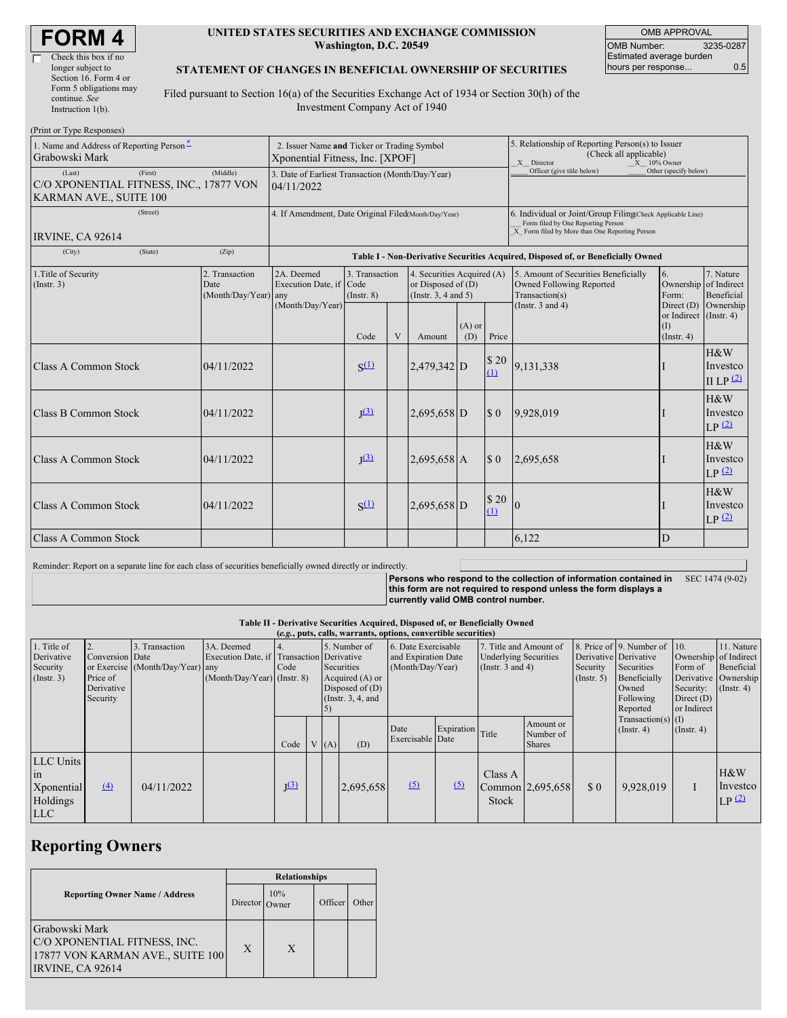| <b>FORM4</b> |
|--------------|
|--------------|

#### **UNITED STATES SECURITIES AND EXCHANGE COMMISSION Washington, D.C. 20549**

OMB APPROVAL OMB Number: 3235-0287 Estimated average burden hours per response... 0.5

#### **STATEMENT OF CHANGES IN BENEFICIAL OWNERSHIP OF SECURITIES**

Filed pursuant to Section 16(a) of the Securities Exchange Act of 1934 or Section 30(h) of the Investment Company Act of 1940

| (Print or Type Responses)                                                              |                                                                                |                                                                                  |                                   |   |                                                                                |                 |                                                                                                         |                                                                                                                                                    |                                                                             |                                                        |  |
|----------------------------------------------------------------------------------------|--------------------------------------------------------------------------------|----------------------------------------------------------------------------------|-----------------------------------|---|--------------------------------------------------------------------------------|-----------------|---------------------------------------------------------------------------------------------------------|----------------------------------------------------------------------------------------------------------------------------------------------------|-----------------------------------------------------------------------------|--------------------------------------------------------|--|
| 1. Name and Address of Reporting Person-<br>Grabowski Mark                             | 2. Issuer Name and Ticker or Trading Symbol<br>Xponential Fitness, Inc. [XPOF] |                                                                                  |                                   |   |                                                                                |                 | 5. Relationship of Reporting Person(s) to Issuer<br>(Check all applicable)<br>X Director<br>X 10% Owner |                                                                                                                                                    |                                                                             |                                                        |  |
| (First)<br>(Last)<br>C/O XPONENTIAL FITNESS, INC., 17877 VON<br>KARMAN AVE., SUITE 100 | 3. Date of Earliest Transaction (Month/Day/Year)<br>04/11/2022                 |                                                                                  |                                   |   |                                                                                |                 | Officer (give title below)                                                                              | Other (specify below)                                                                                                                              |                                                                             |                                                        |  |
| (Street)<br>IRVINE, CA 92614                                                           |                                                                                | 4. If Amendment, Date Original Filed(Month/Day/Year)                             |                                   |   |                                                                                |                 |                                                                                                         | 6. Individual or Joint/Group Filing(Check Applicable Line)<br>Form filed by One Reporting Person<br>X Form filed by More than One Reporting Person |                                                                             |                                                        |  |
| (City)<br>(State)                                                                      | (Zip)                                                                          | Table I - Non-Derivative Securities Acquired, Disposed of, or Beneficially Owned |                                   |   |                                                                                |                 |                                                                                                         |                                                                                                                                                    |                                                                             |                                                        |  |
| 2. Transaction<br>1. Title of Security<br>(Insert. 3)<br>Date<br>(Month/Day/Year) any  |                                                                                | 2A. Deemed<br>Execution Date, if Code<br>(Month/Day/Year)                        | 3. Transaction<br>$($ Instr. $8)$ |   | 4. Securities Acquired (A)<br>or Disposed of $(D)$<br>(Instr. $3, 4$ and $5$ ) |                 |                                                                                                         | 5. Amount of Securities Beneficially<br>Owned Following Reported<br>Transaction(s)                                                                 | 6.<br>Ownership of Indirect<br>Form:                                        | 7. Nature<br>Beneficial                                |  |
|                                                                                        |                                                                                |                                                                                  | Code                              | V | Amount                                                                         | $(A)$ or<br>(D) | Price                                                                                                   | (Instr. $3$ and $4$ )                                                                                                                              | Direct $(D)$ Ownership<br>or Indirect (Instr. 4)<br>$\Omega$<br>(Insert. 4) |                                                        |  |
| Class A Common Stock                                                                   | 04/11/2022                                                                     |                                                                                  | $S^{(1)}$                         |   | $2,479,342$ D                                                                  |                 | \$20<br>(1)                                                                                             | 9,131,338                                                                                                                                          |                                                                             | H&W<br>Investco<br>II LP $(2)$                         |  |
| Class B Common Stock                                                                   | 04/11/2022                                                                     |                                                                                  | I <sup>(3)</sup>                  |   | $2,695,658$ D                                                                  |                 | $\boldsymbol{\mathsf{S}}$ 0                                                                             | 9,928,019                                                                                                                                          |                                                                             | H&W<br>Investco<br>$LP$ <sup><math>(2)</math></sup>    |  |
| Class A Common Stock                                                                   | 04/11/2022                                                                     |                                                                                  | I <sup>(3)</sup>                  |   | $2,695,658$ A                                                                  |                 | $\boldsymbol{\mathsf{S}}$ 0                                                                             | 2,695,658                                                                                                                                          |                                                                             | $H\&W$<br>Investco<br>$LP$ <sup><math>(2)</math></sup> |  |
| <b>Class A Common Stock</b>                                                            | 04/11/2022                                                                     |                                                                                  | $S^{(1)}$                         |   | 2,695,658 D                                                                    |                 | \$20<br>$\Omega$                                                                                        | $\overline{0}$                                                                                                                                     |                                                                             | $H\&W$<br>Investco<br>LP <sup>(2)</sup>                |  |
| Class A Common Stock                                                                   |                                                                                |                                                                                  |                                   |   |                                                                                |                 |                                                                                                         | 6.122                                                                                                                                              | D                                                                           |                                                        |  |

Reminder: Report on a separate line for each class of securities beneficially owned directly or indirectly.

**Persons who respond to the collection of information contained in this form are not required to respond unless the form displays a currently valid OMB control number.** SEC 1474 (9-02)

**Table II - Derivative Securities Acquired, Disposed of, or Beneficially Owned**

| (e.g., puts, calls, warrants, options, convertible securities) |                                                       |                                                    |                                                                                          |           |                                                                                            |      |                                                                |                          |                                                                                 |                  |                                         |                                                                                                                       |                                                                              |                                                                 |                          |
|----------------------------------------------------------------|-------------------------------------------------------|----------------------------------------------------|------------------------------------------------------------------------------------------|-----------|--------------------------------------------------------------------------------------------|------|----------------------------------------------------------------|--------------------------|---------------------------------------------------------------------------------|------------------|-----------------------------------------|-----------------------------------------------------------------------------------------------------------------------|------------------------------------------------------------------------------|-----------------------------------------------------------------|--------------------------|
| 1. Title of<br>Derivative<br>Security<br>$($ Instr. 3 $)$      | Conversion Date<br>Price of<br>Derivative<br>Security | 3. Transaction<br>or Exercise (Month/Day/Year) any | 3A. Deemed<br>Execution Date, if Transaction Derivative<br>$(Month/Day/Year)$ (Instr. 8) | Code      | 5. Number of<br>Securities<br>Acquired (A) or<br>Disposed of $(D)$<br>(Instr. $3, 4$ , and |      | 6. Date Exercisable<br>and Expiration Date<br>(Month/Day/Year) |                          | 7. Title and Amount of<br><b>Underlying Securities</b><br>(Instr. $3$ and $4$ ) |                  | Security<br>(Insert. 5)                 | 8. Price of 9. Number of 10.<br>Derivative Derivative<br>Securities<br>Beneficially<br>Owned<br>Following<br>Reported | Ownership of Indirect<br>Form of<br>Security:<br>Direct $(D)$<br>or Indirect | 11. Nature<br>Beneficial<br>Derivative Ownership<br>(Insert. 4) |                          |
|                                                                |                                                       |                                                    |                                                                                          | Code      |                                                                                            | V(A) | (D)                                                            | Date<br>Exercisable Date | Expiration Title                                                                |                  | Amount or<br>Number of<br><b>Shares</b> |                                                                                                                       | Transaction(s) $(I)$<br>$($ Instr. 4 $)$                                     | $($ Instr. 4 $)$                                                |                          |
| LLC Units<br>$\ln$<br>Xponential<br>Holdings<br><b>LLC</b>     | (4)                                                   | 04/11/2022                                         |                                                                                          | $J^{(3)}$ |                                                                                            |      | 2,695,658                                                      | (5)                      | (5)                                                                             | Class A<br>Stock | $\text{Common}$ 2,695,658               | \$0                                                                                                                   | 9,928,019                                                                    |                                                                 | H&W<br>Investco<br>LP(2) |

# **Reporting Owners**

|                                                                                                        | <b>Relationships</b> |              |         |       |  |  |
|--------------------------------------------------------------------------------------------------------|----------------------|--------------|---------|-------|--|--|
| <b>Reporting Owner Name / Address</b>                                                                  | <b>Director</b>      | 10%<br>Owner | Officer | Other |  |  |
| Grabowski Mark<br>C/O XPONENTIAL FITNESS, INC.<br>17877 VON KARMAN AVE., SUITE 100<br>IRVINE, CA 92614 | X                    | X            |         |       |  |  |